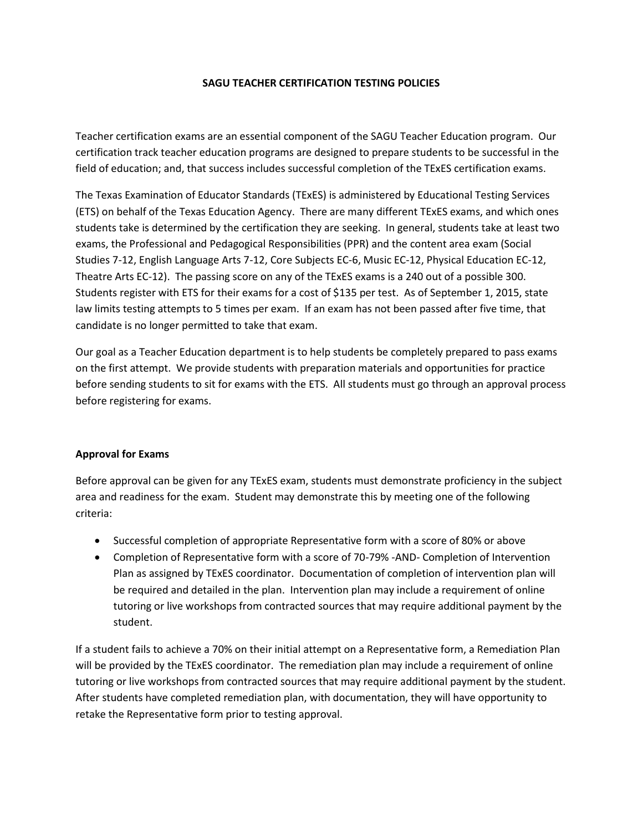## **SAGU TEACHER CERTIFICATION TESTING POLICIES**

Teacher certification exams are an essential component of the SAGU Teacher Education program. Our certification track teacher education programs are designed to prepare students to be successful in the field of education; and, that success includes successful completion of the TExES certification exams.

The Texas Examination of Educator Standards (TExES) is administered by Educational Testing Services (ETS) on behalf of the Texas Education Agency. There are many different TExES exams, and which ones students take is determined by the certification they are seeking. In general, students take at least two exams, the Professional and Pedagogical Responsibilities (PPR) and the content area exam (Social Studies 7-12, English Language Arts 7-12, Core Subjects EC-6, Music EC-12, Physical Education EC-12, Theatre Arts EC-12). The passing score on any of the TExES exams is a 240 out of a possible 300. Students register with ETS for their exams for a cost of \$135 per test. As of September 1, 2015, state law limits testing attempts to 5 times per exam. If an exam has not been passed after five time, that candidate is no longer permitted to take that exam.

Our goal as a Teacher Education department is to help students be completely prepared to pass exams on the first attempt. We provide students with preparation materials and opportunities for practice before sending students to sit for exams with the ETS. All students must go through an approval process before registering for exams.

## **Approval for Exams**

Before approval can be given for any TExES exam, students must demonstrate proficiency in the subject area and readiness for the exam. Student may demonstrate this by meeting one of the following criteria:

- Successful completion of appropriate Representative form with a score of 80% or above
- Completion of Representative form with a score of 70-79% -AND- Completion of Intervention Plan as assigned by TExES coordinator. Documentation of completion of intervention plan will be required and detailed in the plan. Intervention plan may include a requirement of online tutoring or live workshops from contracted sources that may require additional payment by the student.

If a student fails to achieve a 70% on their initial attempt on a Representative form, a Remediation Plan will be provided by the TExES coordinator. The remediation plan may include a requirement of online tutoring or live workshops from contracted sources that may require additional payment by the student. After students have completed remediation plan, with documentation, they will have opportunity to retake the Representative form prior to testing approval.